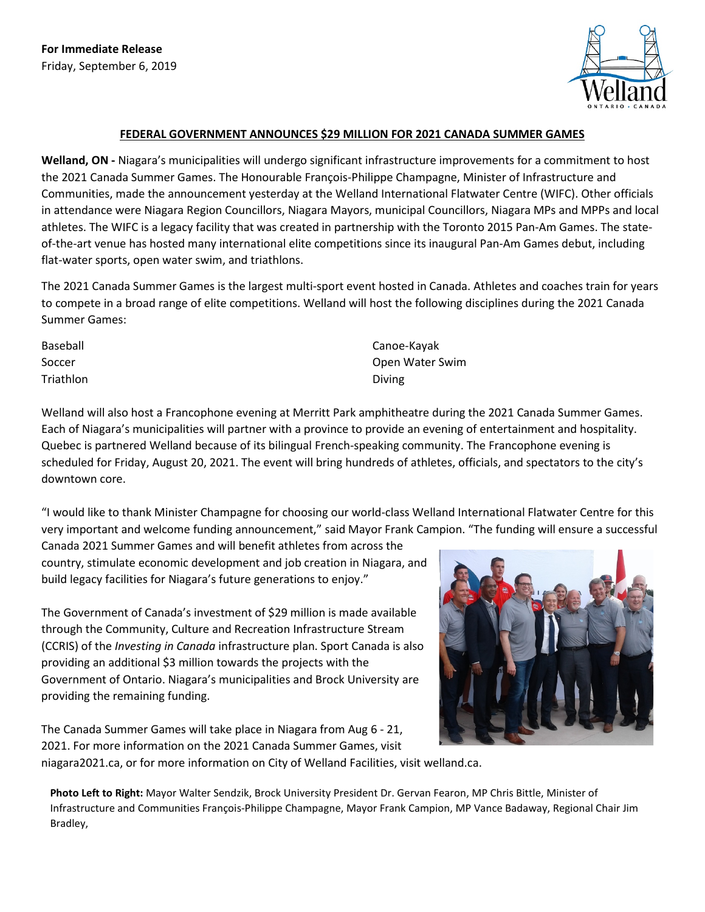**For Immediate Release** Friday, September 6, 2019



## **FEDERAL GOVERNMENT ANNOUNCES \$29 MILLION FOR 2021 CANADA SUMMER GAMES**

**Welland, ON -** Niagara's municipalities will undergo significant infrastructure improvements for a commitment to host the 2021 Canada Summer Games. The Honourable François-Philippe Champagne, Minister of Infrastructure and Communities, made the announcement yesterday at the Welland International Flatwater Centre (WIFC). Other officials in attendance were Niagara Region Councillors, Niagara Mayors, municipal Councillors, Niagara MPs and MPPs and local athletes. The WIFC is a legacy facility that was created in partnership with the Toronto 2015 Pan-Am Games. The stateof-the-art venue has hosted many international elite competitions since its inaugural Pan-Am Games debut, including flat-water sports, open water swim, and triathlons.

The 2021 Canada Summer Games is the largest multi-sport event hosted in Canada. Athletes and coaches train for years to compete in a broad range of elite competitions. Welland will host the following disciplines during the 2021 Canada Summer Games:

| Baseball  |
|-----------|
| Soccer    |
| Triathlon |

Canoe-Kayak Open Water Swim Diving

Welland will also host a Francophone evening at Merritt Park amphitheatre during the 2021 Canada Summer Games. Each of Niagara's municipalities will partner with a province to provide an evening of entertainment and hospitality. Quebec is partnered Welland because of its bilingual French-speaking community. The Francophone evening is scheduled for Friday, August 20, 2021. The event will bring hundreds of athletes, officials, and spectators to the city's downtown core.

"I would like to thank Minister Champagne for choosing our world-class Welland International Flatwater Centre for this very important and welcome funding announcement," said Mayor Frank Campion. "The funding will ensure a successful

Canada 2021 Summer Games and will benefit athletes from across the country, stimulate economic development and job creation in Niagara, and build legacy facilities for Niagara's future generations to enjoy."

The Government of Canada's investment of \$29 million is made available through the Community, Culture and Recreation Infrastructure Stream (CCRIS) of the *Investing in Canada* infrastructure plan. Sport Canada is also providing an additional \$3 million towards the projects with the Government of Ontario. Niagara's municipalities and Brock University are providing the remaining funding.

The Canada Summer Games will take place in Niagara from Aug 6 - 21, 2021. For more information on the 2021 Canada Summer Games, visit niagara2021.ca, or for more information on City of Welland Facilities, visit welland.ca.



**Photo Left to Right:** Mayor Walter Sendzik, Brock University President Dr. Gervan Fearon, MP Chris Bittle, Minister of Infrastructure and Communities François-Philippe Champagne, Mayor Frank Campion, MP Vance Badaway, Regional Chair Jim Bradley,